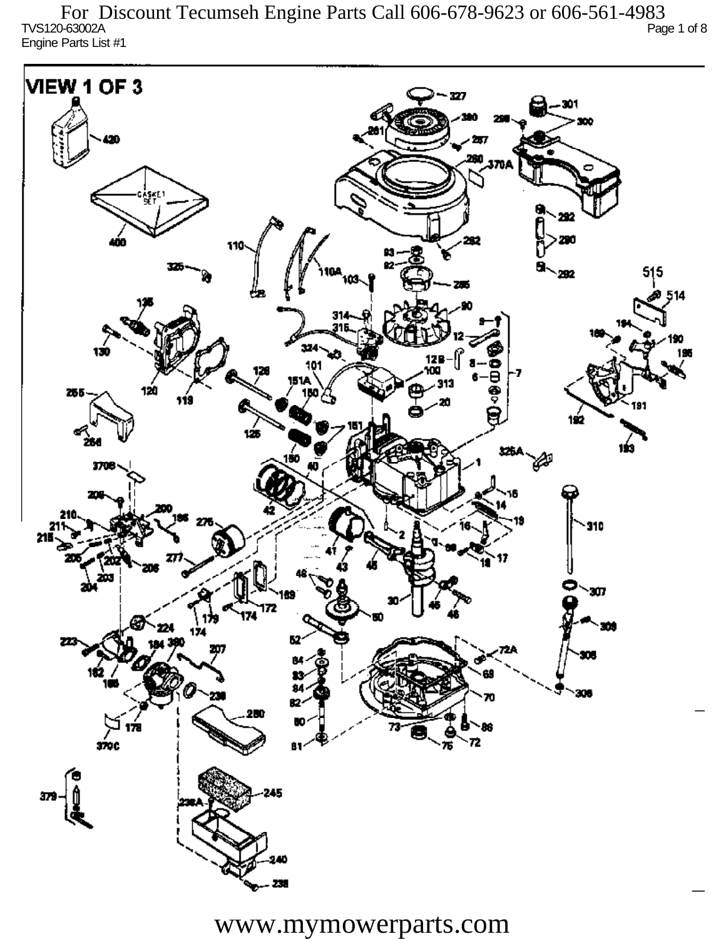TVS120-63002A Page 1 of 8 Engine Parts List #1 For Discount Tecumseh Engine Parts Call 606-678-9623 or 606-561-4983

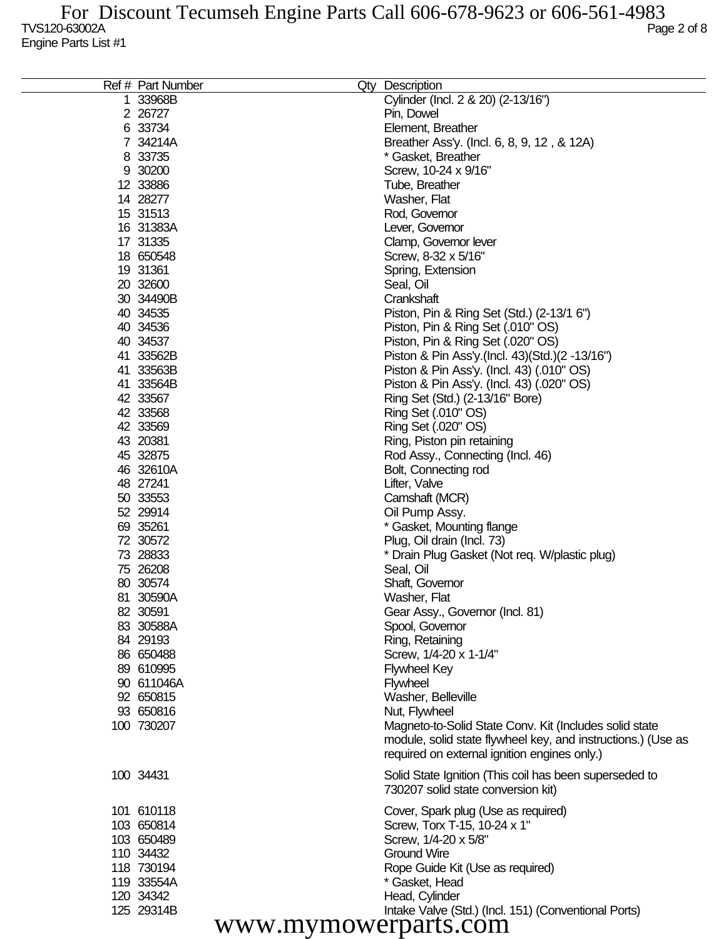| Ref # Part Number | Qty Description                                                              |
|-------------------|------------------------------------------------------------------------------|
| 33968B            | Cylinder (Incl. 2 & 20) (2-13/16")                                           |
| 2 26727           | Pin, Dowel                                                                   |
| 6 33734           | Element, Breather                                                            |
| 7 34214A          | Breather Ass'y. (Incl. 6, 8, 9, 12, & 12A)                                   |
| 8 33735           | * Gasket, Breather                                                           |
| 9 30200           | Screw, 10-24 x 9/16"                                                         |
| 12 33886          | Tube, Breather                                                               |
| 14 28277          | Washer, Flat                                                                 |
| 15 31513          | Rod, Governor                                                                |
| 16 31383A         | Lever, Governor                                                              |
| 17 31335          | Clamp, Governor lever                                                        |
| 18 650548         | Screw, 8-32 x 5/16"                                                          |
| 19 31361          | Spring, Extension                                                            |
| 20 32600          | Seal, Oil                                                                    |
| 30 34490B         | Crankshaft                                                                   |
|                   |                                                                              |
| 40 34535          | Piston, Pin & Ring Set (Std.) (2-13/1 6")                                    |
| 40 34536          | Piston, Pin & Ring Set (.010" OS)                                            |
| 40 34537          | Piston, Pin & Ring Set (.020" OS)                                            |
| 41 33562B         | Piston & Pin Ass'y (Incl. 43) (Std.) (2 -13/16")                             |
| 41 33563B         | Piston & Pin Ass'y. (Incl. 43) (.010" OS)                                    |
| 41 33564B         | Piston & Pin Ass'y. (Incl. 43) (.020" OS)                                    |
| 42 33567          | Ring Set (Std.) (2-13/16" Bore)                                              |
| 42 33568          | Ring Set (.010" OS)                                                          |
| 42 33569          | Ring Set (.020" OS)                                                          |
| 43 20381          | Ring, Piston pin retaining                                                   |
| 45 32875          | Rod Assy., Connecting (Incl. 46)                                             |
| 46 32610A         | Bolt, Connecting rod                                                         |
| 48 27241          | Lifter, Valve                                                                |
| 50 33553          | Camshaft (MCR)                                                               |
| 52 29914          | Oil Pump Assy.                                                               |
| 69 35261          | * Gasket, Mounting flange                                                    |
| 72 30572          | Plug, Oil drain (Incl. 73)                                                   |
| 73 28833          | * Drain Plug Gasket (Not req. W/plastic plug)                                |
| 75 26208          | Seal, Oil                                                                    |
| 80 30574          | Shaft, Governor                                                              |
| 81 30590A         | Washer, Flat                                                                 |
| 82 30591          | Gear Assy., Governor (Incl. 81)                                              |
| 83 30588A         | Spool, Governor                                                              |
| 84 29193          | Ring, Retaining                                                              |
| 86 650488         | Screw, 1/4-20 x 1-1/4"                                                       |
| 89 610995         | <b>Flywheel Key</b>                                                          |
| 90 611046A        | Flywheel                                                                     |
| 92 650815         | Washer, Belleville                                                           |
| 93 650816         | Nut, Flywheel                                                                |
| 100 730207        | Magneto-to-Solid State Conv. Kit (Includes solid state                       |
|                   | module, solid state flywheel key, and instructions.) (Use as                 |
|                   | required on external ignition engines only.)                                 |
|                   |                                                                              |
| 100 34431         | Solid State Ignition (This coil has been superseded to                       |
|                   | 730207 solid state conversion kit)                                           |
| 101 610118        |                                                                              |
| 103 650814        | Cover, Spark plug (Use as required)                                          |
|                   | Screw, Torx T-15, 10-24 x 1"                                                 |
| 103 650489        | Screw, 1/4-20 x 5/8"                                                         |
| 110 34432         | <b>Ground Wire</b>                                                           |
| 118 730194        | Rope Guide Kit (Use as required)                                             |
| 119 33554A        | * Gasket, Head                                                               |
| 120 34342         | Head, Cylinder                                                               |
| 125 29314B        | Intake Valve (Std.) (Incl. 151) (Conventional Ports)<br>www.mwmowarporto com |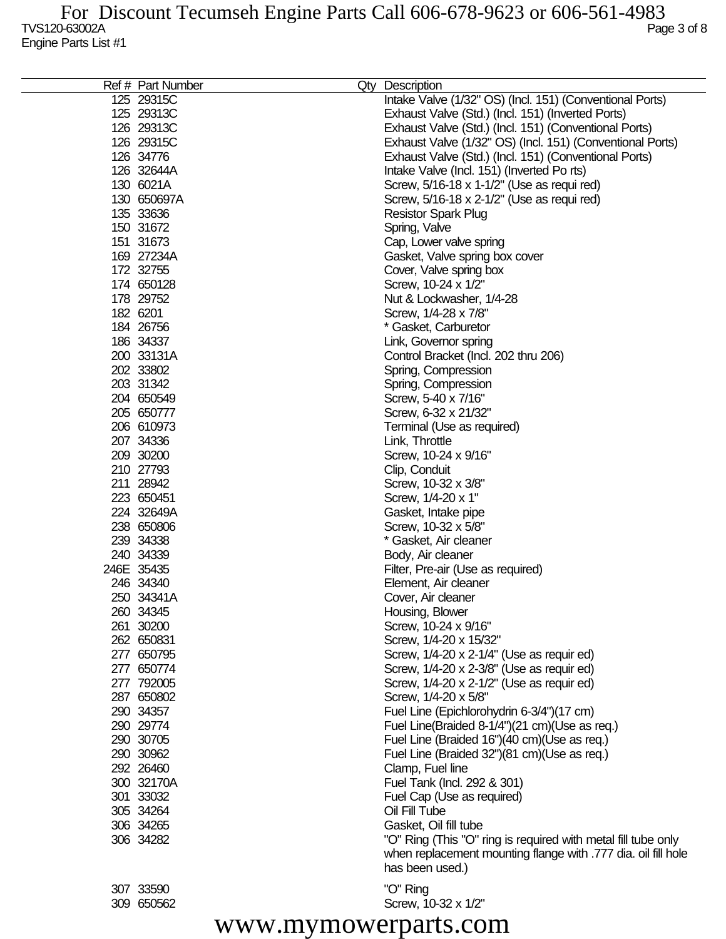| Intake Valve (1/32" OS) (Incl. 151) (Conventional Ports)<br>125 29315C<br>125 29313C<br>Exhaust Valve (Std.) (Incl. 151) (Inverted Ports)<br>126 29313C<br>Exhaust Valve (Std.) (Incl. 151) (Conventional Ports)<br>126 29315C<br>Exhaust Valve (1/32" OS) (Incl. 151) (Conventional Ports)<br>Exhaust Valve (Std.) (Incl. 151) (Conventional Ports)<br>126 34776<br>126 32644A<br>Intake Valve (Incl. 151) (Inverted Po rts)<br>130 6021A<br>Screw, 5/16-18 x 1-1/2" (Use as requi red)<br>130 650697A<br>Screw, 5/16-18 x 2-1/2" (Use as requi red)<br>135 33636<br><b>Resistor Spark Plug</b><br>150 31672<br>Spring, Valve<br>151 31673<br>Cap, Lower valve spring<br>169 27234A<br>Gasket, Valve spring box cover<br>172 32755<br>Cover, Valve spring box<br>174 650128<br>Screw, 10-24 x 1/2"<br>178 29752<br>Nut & Lockwasher, 1/4-28<br>182 6201<br>Screw, 1/4-28 x 7/8"<br>184 26756<br>* Gasket, Carburetor<br>186 34337<br>Link, Governor spring<br>200 33131A<br>Control Bracket (Incl. 202 thru 206)<br>202 33802<br>Spring, Compression<br>203 31342<br>Spring, Compression<br>204 650549<br>Screw, 5-40 x 7/16"<br>205 650777<br>Screw, 6-32 x 21/32"<br>206 610973<br>Terminal (Use as required)<br>207 34336<br>Link, Throttle<br>209 30200<br>Screw, 10-24 x 9/16"<br>210 27793<br>Clip, Conduit<br>211 28942<br>Screw, 10-32 x 3/8"<br>223 650451<br>Screw, 1/4-20 x 1"<br>224 32649A<br>Gasket, Intake pipe<br>238 650806<br>Screw, 10-32 x 5/8"<br>239 34338<br>* Gasket, Air cleaner<br>240 34339<br>Body, Air cleaner<br>246E 35435<br>Filter, Pre-air (Use as required)<br>246 34340<br>Element, Air cleaner<br>250 34341A<br>Cover, Air cleaner<br>260 34345<br>Housing, Blower<br>261 30200<br>Screw, 10-24 x 9/16"<br>262 650831<br>Screw, 1/4-20 x 15/32"<br>277 650795<br>Screw, 1/4-20 x 2-1/4" (Use as requir ed)<br>277 650774<br>Screw, 1/4-20 x 2-3/8" (Use as requir ed)<br>277 792005<br>Screw, 1/4-20 x 2-1/2" (Use as requir ed)<br>287 650802<br>Screw, 1/4-20 x 5/8"<br>290 34357<br>Fuel Line (Epichlorohydrin 6-3/4")(17 cm)<br>290 29774<br>Fuel Line(Braided 8-1/4")(21 cm)(Use as req.)<br>290 30705<br>Fuel Line (Braided 16")(40 cm)(Use as req.)<br>290 30962<br>Fuel Line (Braided 32")(81 cm)(Use as req.)<br>292 26460<br>Clamp, Fuel line<br>300 32170A<br>Fuel Tank (Incl. 292 & 301)<br>301 33032<br>Fuel Cap (Use as required)<br>305 34264<br>Oil Fill Tube<br>306 34265<br>Gasket, Oil fill tube<br>306 34282<br>"O" Ring (This "O" ring is required with metal fill tube only | Ref # Part Number | Qty | Description                                                   |
|-----------------------------------------------------------------------------------------------------------------------------------------------------------------------------------------------------------------------------------------------------------------------------------------------------------------------------------------------------------------------------------------------------------------------------------------------------------------------------------------------------------------------------------------------------------------------------------------------------------------------------------------------------------------------------------------------------------------------------------------------------------------------------------------------------------------------------------------------------------------------------------------------------------------------------------------------------------------------------------------------------------------------------------------------------------------------------------------------------------------------------------------------------------------------------------------------------------------------------------------------------------------------------------------------------------------------------------------------------------------------------------------------------------------------------------------------------------------------------------------------------------------------------------------------------------------------------------------------------------------------------------------------------------------------------------------------------------------------------------------------------------------------------------------------------------------------------------------------------------------------------------------------------------------------------------------------------------------------------------------------------------------------------------------------------------------------------------------------------------------------------------------------------------------------------------------------------------------------------------------------------------------------------------------------------------------------------------------------------------------------------------------------------------------------------------------------------------------------------------------------------------------------------------------|-------------------|-----|---------------------------------------------------------------|
|                                                                                                                                                                                                                                                                                                                                                                                                                                                                                                                                                                                                                                                                                                                                                                                                                                                                                                                                                                                                                                                                                                                                                                                                                                                                                                                                                                                                                                                                                                                                                                                                                                                                                                                                                                                                                                                                                                                                                                                                                                                                                                                                                                                                                                                                                                                                                                                                                                                                                                                                         |                   |     |                                                               |
|                                                                                                                                                                                                                                                                                                                                                                                                                                                                                                                                                                                                                                                                                                                                                                                                                                                                                                                                                                                                                                                                                                                                                                                                                                                                                                                                                                                                                                                                                                                                                                                                                                                                                                                                                                                                                                                                                                                                                                                                                                                                                                                                                                                                                                                                                                                                                                                                                                                                                                                                         |                   |     |                                                               |
|                                                                                                                                                                                                                                                                                                                                                                                                                                                                                                                                                                                                                                                                                                                                                                                                                                                                                                                                                                                                                                                                                                                                                                                                                                                                                                                                                                                                                                                                                                                                                                                                                                                                                                                                                                                                                                                                                                                                                                                                                                                                                                                                                                                                                                                                                                                                                                                                                                                                                                                                         |                   |     |                                                               |
|                                                                                                                                                                                                                                                                                                                                                                                                                                                                                                                                                                                                                                                                                                                                                                                                                                                                                                                                                                                                                                                                                                                                                                                                                                                                                                                                                                                                                                                                                                                                                                                                                                                                                                                                                                                                                                                                                                                                                                                                                                                                                                                                                                                                                                                                                                                                                                                                                                                                                                                                         |                   |     |                                                               |
|                                                                                                                                                                                                                                                                                                                                                                                                                                                                                                                                                                                                                                                                                                                                                                                                                                                                                                                                                                                                                                                                                                                                                                                                                                                                                                                                                                                                                                                                                                                                                                                                                                                                                                                                                                                                                                                                                                                                                                                                                                                                                                                                                                                                                                                                                                                                                                                                                                                                                                                                         |                   |     |                                                               |
|                                                                                                                                                                                                                                                                                                                                                                                                                                                                                                                                                                                                                                                                                                                                                                                                                                                                                                                                                                                                                                                                                                                                                                                                                                                                                                                                                                                                                                                                                                                                                                                                                                                                                                                                                                                                                                                                                                                                                                                                                                                                                                                                                                                                                                                                                                                                                                                                                                                                                                                                         |                   |     |                                                               |
|                                                                                                                                                                                                                                                                                                                                                                                                                                                                                                                                                                                                                                                                                                                                                                                                                                                                                                                                                                                                                                                                                                                                                                                                                                                                                                                                                                                                                                                                                                                                                                                                                                                                                                                                                                                                                                                                                                                                                                                                                                                                                                                                                                                                                                                                                                                                                                                                                                                                                                                                         |                   |     |                                                               |
|                                                                                                                                                                                                                                                                                                                                                                                                                                                                                                                                                                                                                                                                                                                                                                                                                                                                                                                                                                                                                                                                                                                                                                                                                                                                                                                                                                                                                                                                                                                                                                                                                                                                                                                                                                                                                                                                                                                                                                                                                                                                                                                                                                                                                                                                                                                                                                                                                                                                                                                                         |                   |     |                                                               |
|                                                                                                                                                                                                                                                                                                                                                                                                                                                                                                                                                                                                                                                                                                                                                                                                                                                                                                                                                                                                                                                                                                                                                                                                                                                                                                                                                                                                                                                                                                                                                                                                                                                                                                                                                                                                                                                                                                                                                                                                                                                                                                                                                                                                                                                                                                                                                                                                                                                                                                                                         |                   |     |                                                               |
|                                                                                                                                                                                                                                                                                                                                                                                                                                                                                                                                                                                                                                                                                                                                                                                                                                                                                                                                                                                                                                                                                                                                                                                                                                                                                                                                                                                                                                                                                                                                                                                                                                                                                                                                                                                                                                                                                                                                                                                                                                                                                                                                                                                                                                                                                                                                                                                                                                                                                                                                         |                   |     |                                                               |
|                                                                                                                                                                                                                                                                                                                                                                                                                                                                                                                                                                                                                                                                                                                                                                                                                                                                                                                                                                                                                                                                                                                                                                                                                                                                                                                                                                                                                                                                                                                                                                                                                                                                                                                                                                                                                                                                                                                                                                                                                                                                                                                                                                                                                                                                                                                                                                                                                                                                                                                                         |                   |     |                                                               |
|                                                                                                                                                                                                                                                                                                                                                                                                                                                                                                                                                                                                                                                                                                                                                                                                                                                                                                                                                                                                                                                                                                                                                                                                                                                                                                                                                                                                                                                                                                                                                                                                                                                                                                                                                                                                                                                                                                                                                                                                                                                                                                                                                                                                                                                                                                                                                                                                                                                                                                                                         |                   |     |                                                               |
|                                                                                                                                                                                                                                                                                                                                                                                                                                                                                                                                                                                                                                                                                                                                                                                                                                                                                                                                                                                                                                                                                                                                                                                                                                                                                                                                                                                                                                                                                                                                                                                                                                                                                                                                                                                                                                                                                                                                                                                                                                                                                                                                                                                                                                                                                                                                                                                                                                                                                                                                         |                   |     |                                                               |
|                                                                                                                                                                                                                                                                                                                                                                                                                                                                                                                                                                                                                                                                                                                                                                                                                                                                                                                                                                                                                                                                                                                                                                                                                                                                                                                                                                                                                                                                                                                                                                                                                                                                                                                                                                                                                                                                                                                                                                                                                                                                                                                                                                                                                                                                                                                                                                                                                                                                                                                                         |                   |     |                                                               |
|                                                                                                                                                                                                                                                                                                                                                                                                                                                                                                                                                                                                                                                                                                                                                                                                                                                                                                                                                                                                                                                                                                                                                                                                                                                                                                                                                                                                                                                                                                                                                                                                                                                                                                                                                                                                                                                                                                                                                                                                                                                                                                                                                                                                                                                                                                                                                                                                                                                                                                                                         |                   |     |                                                               |
|                                                                                                                                                                                                                                                                                                                                                                                                                                                                                                                                                                                                                                                                                                                                                                                                                                                                                                                                                                                                                                                                                                                                                                                                                                                                                                                                                                                                                                                                                                                                                                                                                                                                                                                                                                                                                                                                                                                                                                                                                                                                                                                                                                                                                                                                                                                                                                                                                                                                                                                                         |                   |     |                                                               |
|                                                                                                                                                                                                                                                                                                                                                                                                                                                                                                                                                                                                                                                                                                                                                                                                                                                                                                                                                                                                                                                                                                                                                                                                                                                                                                                                                                                                                                                                                                                                                                                                                                                                                                                                                                                                                                                                                                                                                                                                                                                                                                                                                                                                                                                                                                                                                                                                                                                                                                                                         |                   |     |                                                               |
|                                                                                                                                                                                                                                                                                                                                                                                                                                                                                                                                                                                                                                                                                                                                                                                                                                                                                                                                                                                                                                                                                                                                                                                                                                                                                                                                                                                                                                                                                                                                                                                                                                                                                                                                                                                                                                                                                                                                                                                                                                                                                                                                                                                                                                                                                                                                                                                                                                                                                                                                         |                   |     |                                                               |
|                                                                                                                                                                                                                                                                                                                                                                                                                                                                                                                                                                                                                                                                                                                                                                                                                                                                                                                                                                                                                                                                                                                                                                                                                                                                                                                                                                                                                                                                                                                                                                                                                                                                                                                                                                                                                                                                                                                                                                                                                                                                                                                                                                                                                                                                                                                                                                                                                                                                                                                                         |                   |     |                                                               |
|                                                                                                                                                                                                                                                                                                                                                                                                                                                                                                                                                                                                                                                                                                                                                                                                                                                                                                                                                                                                                                                                                                                                                                                                                                                                                                                                                                                                                                                                                                                                                                                                                                                                                                                                                                                                                                                                                                                                                                                                                                                                                                                                                                                                                                                                                                                                                                                                                                                                                                                                         |                   |     |                                                               |
|                                                                                                                                                                                                                                                                                                                                                                                                                                                                                                                                                                                                                                                                                                                                                                                                                                                                                                                                                                                                                                                                                                                                                                                                                                                                                                                                                                                                                                                                                                                                                                                                                                                                                                                                                                                                                                                                                                                                                                                                                                                                                                                                                                                                                                                                                                                                                                                                                                                                                                                                         |                   |     |                                                               |
|                                                                                                                                                                                                                                                                                                                                                                                                                                                                                                                                                                                                                                                                                                                                                                                                                                                                                                                                                                                                                                                                                                                                                                                                                                                                                                                                                                                                                                                                                                                                                                                                                                                                                                                                                                                                                                                                                                                                                                                                                                                                                                                                                                                                                                                                                                                                                                                                                                                                                                                                         |                   |     |                                                               |
|                                                                                                                                                                                                                                                                                                                                                                                                                                                                                                                                                                                                                                                                                                                                                                                                                                                                                                                                                                                                                                                                                                                                                                                                                                                                                                                                                                                                                                                                                                                                                                                                                                                                                                                                                                                                                                                                                                                                                                                                                                                                                                                                                                                                                                                                                                                                                                                                                                                                                                                                         |                   |     |                                                               |
|                                                                                                                                                                                                                                                                                                                                                                                                                                                                                                                                                                                                                                                                                                                                                                                                                                                                                                                                                                                                                                                                                                                                                                                                                                                                                                                                                                                                                                                                                                                                                                                                                                                                                                                                                                                                                                                                                                                                                                                                                                                                                                                                                                                                                                                                                                                                                                                                                                                                                                                                         |                   |     |                                                               |
|                                                                                                                                                                                                                                                                                                                                                                                                                                                                                                                                                                                                                                                                                                                                                                                                                                                                                                                                                                                                                                                                                                                                                                                                                                                                                                                                                                                                                                                                                                                                                                                                                                                                                                                                                                                                                                                                                                                                                                                                                                                                                                                                                                                                                                                                                                                                                                                                                                                                                                                                         |                   |     |                                                               |
|                                                                                                                                                                                                                                                                                                                                                                                                                                                                                                                                                                                                                                                                                                                                                                                                                                                                                                                                                                                                                                                                                                                                                                                                                                                                                                                                                                                                                                                                                                                                                                                                                                                                                                                                                                                                                                                                                                                                                                                                                                                                                                                                                                                                                                                                                                                                                                                                                                                                                                                                         |                   |     |                                                               |
|                                                                                                                                                                                                                                                                                                                                                                                                                                                                                                                                                                                                                                                                                                                                                                                                                                                                                                                                                                                                                                                                                                                                                                                                                                                                                                                                                                                                                                                                                                                                                                                                                                                                                                                                                                                                                                                                                                                                                                                                                                                                                                                                                                                                                                                                                                                                                                                                                                                                                                                                         |                   |     |                                                               |
|                                                                                                                                                                                                                                                                                                                                                                                                                                                                                                                                                                                                                                                                                                                                                                                                                                                                                                                                                                                                                                                                                                                                                                                                                                                                                                                                                                                                                                                                                                                                                                                                                                                                                                                                                                                                                                                                                                                                                                                                                                                                                                                                                                                                                                                                                                                                                                                                                                                                                                                                         |                   |     |                                                               |
|                                                                                                                                                                                                                                                                                                                                                                                                                                                                                                                                                                                                                                                                                                                                                                                                                                                                                                                                                                                                                                                                                                                                                                                                                                                                                                                                                                                                                                                                                                                                                                                                                                                                                                                                                                                                                                                                                                                                                                                                                                                                                                                                                                                                                                                                                                                                                                                                                                                                                                                                         |                   |     |                                                               |
|                                                                                                                                                                                                                                                                                                                                                                                                                                                                                                                                                                                                                                                                                                                                                                                                                                                                                                                                                                                                                                                                                                                                                                                                                                                                                                                                                                                                                                                                                                                                                                                                                                                                                                                                                                                                                                                                                                                                                                                                                                                                                                                                                                                                                                                                                                                                                                                                                                                                                                                                         |                   |     |                                                               |
|                                                                                                                                                                                                                                                                                                                                                                                                                                                                                                                                                                                                                                                                                                                                                                                                                                                                                                                                                                                                                                                                                                                                                                                                                                                                                                                                                                                                                                                                                                                                                                                                                                                                                                                                                                                                                                                                                                                                                                                                                                                                                                                                                                                                                                                                                                                                                                                                                                                                                                                                         |                   |     |                                                               |
|                                                                                                                                                                                                                                                                                                                                                                                                                                                                                                                                                                                                                                                                                                                                                                                                                                                                                                                                                                                                                                                                                                                                                                                                                                                                                                                                                                                                                                                                                                                                                                                                                                                                                                                                                                                                                                                                                                                                                                                                                                                                                                                                                                                                                                                                                                                                                                                                                                                                                                                                         |                   |     |                                                               |
|                                                                                                                                                                                                                                                                                                                                                                                                                                                                                                                                                                                                                                                                                                                                                                                                                                                                                                                                                                                                                                                                                                                                                                                                                                                                                                                                                                                                                                                                                                                                                                                                                                                                                                                                                                                                                                                                                                                                                                                                                                                                                                                                                                                                                                                                                                                                                                                                                                                                                                                                         |                   |     |                                                               |
|                                                                                                                                                                                                                                                                                                                                                                                                                                                                                                                                                                                                                                                                                                                                                                                                                                                                                                                                                                                                                                                                                                                                                                                                                                                                                                                                                                                                                                                                                                                                                                                                                                                                                                                                                                                                                                                                                                                                                                                                                                                                                                                                                                                                                                                                                                                                                                                                                                                                                                                                         |                   |     |                                                               |
|                                                                                                                                                                                                                                                                                                                                                                                                                                                                                                                                                                                                                                                                                                                                                                                                                                                                                                                                                                                                                                                                                                                                                                                                                                                                                                                                                                                                                                                                                                                                                                                                                                                                                                                                                                                                                                                                                                                                                                                                                                                                                                                                                                                                                                                                                                                                                                                                                                                                                                                                         |                   |     |                                                               |
|                                                                                                                                                                                                                                                                                                                                                                                                                                                                                                                                                                                                                                                                                                                                                                                                                                                                                                                                                                                                                                                                                                                                                                                                                                                                                                                                                                                                                                                                                                                                                                                                                                                                                                                                                                                                                                                                                                                                                                                                                                                                                                                                                                                                                                                                                                                                                                                                                                                                                                                                         |                   |     |                                                               |
|                                                                                                                                                                                                                                                                                                                                                                                                                                                                                                                                                                                                                                                                                                                                                                                                                                                                                                                                                                                                                                                                                                                                                                                                                                                                                                                                                                                                                                                                                                                                                                                                                                                                                                                                                                                                                                                                                                                                                                                                                                                                                                                                                                                                                                                                                                                                                                                                                                                                                                                                         |                   |     |                                                               |
|                                                                                                                                                                                                                                                                                                                                                                                                                                                                                                                                                                                                                                                                                                                                                                                                                                                                                                                                                                                                                                                                                                                                                                                                                                                                                                                                                                                                                                                                                                                                                                                                                                                                                                                                                                                                                                                                                                                                                                                                                                                                                                                                                                                                                                                                                                                                                                                                                                                                                                                                         |                   |     |                                                               |
|                                                                                                                                                                                                                                                                                                                                                                                                                                                                                                                                                                                                                                                                                                                                                                                                                                                                                                                                                                                                                                                                                                                                                                                                                                                                                                                                                                                                                                                                                                                                                                                                                                                                                                                                                                                                                                                                                                                                                                                                                                                                                                                                                                                                                                                                                                                                                                                                                                                                                                                                         |                   |     |                                                               |
|                                                                                                                                                                                                                                                                                                                                                                                                                                                                                                                                                                                                                                                                                                                                                                                                                                                                                                                                                                                                                                                                                                                                                                                                                                                                                                                                                                                                                                                                                                                                                                                                                                                                                                                                                                                                                                                                                                                                                                                                                                                                                                                                                                                                                                                                                                                                                                                                                                                                                                                                         |                   |     |                                                               |
|                                                                                                                                                                                                                                                                                                                                                                                                                                                                                                                                                                                                                                                                                                                                                                                                                                                                                                                                                                                                                                                                                                                                                                                                                                                                                                                                                                                                                                                                                                                                                                                                                                                                                                                                                                                                                                                                                                                                                                                                                                                                                                                                                                                                                                                                                                                                                                                                                                                                                                                                         |                   |     |                                                               |
|                                                                                                                                                                                                                                                                                                                                                                                                                                                                                                                                                                                                                                                                                                                                                                                                                                                                                                                                                                                                                                                                                                                                                                                                                                                                                                                                                                                                                                                                                                                                                                                                                                                                                                                                                                                                                                                                                                                                                                                                                                                                                                                                                                                                                                                                                                                                                                                                                                                                                                                                         |                   |     |                                                               |
|                                                                                                                                                                                                                                                                                                                                                                                                                                                                                                                                                                                                                                                                                                                                                                                                                                                                                                                                                                                                                                                                                                                                                                                                                                                                                                                                                                                                                                                                                                                                                                                                                                                                                                                                                                                                                                                                                                                                                                                                                                                                                                                                                                                                                                                                                                                                                                                                                                                                                                                                         |                   |     |                                                               |
|                                                                                                                                                                                                                                                                                                                                                                                                                                                                                                                                                                                                                                                                                                                                                                                                                                                                                                                                                                                                                                                                                                                                                                                                                                                                                                                                                                                                                                                                                                                                                                                                                                                                                                                                                                                                                                                                                                                                                                                                                                                                                                                                                                                                                                                                                                                                                                                                                                                                                                                                         |                   |     |                                                               |
|                                                                                                                                                                                                                                                                                                                                                                                                                                                                                                                                                                                                                                                                                                                                                                                                                                                                                                                                                                                                                                                                                                                                                                                                                                                                                                                                                                                                                                                                                                                                                                                                                                                                                                                                                                                                                                                                                                                                                                                                                                                                                                                                                                                                                                                                                                                                                                                                                                                                                                                                         |                   |     |                                                               |
|                                                                                                                                                                                                                                                                                                                                                                                                                                                                                                                                                                                                                                                                                                                                                                                                                                                                                                                                                                                                                                                                                                                                                                                                                                                                                                                                                                                                                                                                                                                                                                                                                                                                                                                                                                                                                                                                                                                                                                                                                                                                                                                                                                                                                                                                                                                                                                                                                                                                                                                                         |                   |     |                                                               |
|                                                                                                                                                                                                                                                                                                                                                                                                                                                                                                                                                                                                                                                                                                                                                                                                                                                                                                                                                                                                                                                                                                                                                                                                                                                                                                                                                                                                                                                                                                                                                                                                                                                                                                                                                                                                                                                                                                                                                                                                                                                                                                                                                                                                                                                                                                                                                                                                                                                                                                                                         |                   |     |                                                               |
|                                                                                                                                                                                                                                                                                                                                                                                                                                                                                                                                                                                                                                                                                                                                                                                                                                                                                                                                                                                                                                                                                                                                                                                                                                                                                                                                                                                                                                                                                                                                                                                                                                                                                                                                                                                                                                                                                                                                                                                                                                                                                                                                                                                                                                                                                                                                                                                                                                                                                                                                         |                   |     |                                                               |
|                                                                                                                                                                                                                                                                                                                                                                                                                                                                                                                                                                                                                                                                                                                                                                                                                                                                                                                                                                                                                                                                                                                                                                                                                                                                                                                                                                                                                                                                                                                                                                                                                                                                                                                                                                                                                                                                                                                                                                                                                                                                                                                                                                                                                                                                                                                                                                                                                                                                                                                                         |                   |     |                                                               |
|                                                                                                                                                                                                                                                                                                                                                                                                                                                                                                                                                                                                                                                                                                                                                                                                                                                                                                                                                                                                                                                                                                                                                                                                                                                                                                                                                                                                                                                                                                                                                                                                                                                                                                                                                                                                                                                                                                                                                                                                                                                                                                                                                                                                                                                                                                                                                                                                                                                                                                                                         |                   |     |                                                               |
|                                                                                                                                                                                                                                                                                                                                                                                                                                                                                                                                                                                                                                                                                                                                                                                                                                                                                                                                                                                                                                                                                                                                                                                                                                                                                                                                                                                                                                                                                                                                                                                                                                                                                                                                                                                                                                                                                                                                                                                                                                                                                                                                                                                                                                                                                                                                                                                                                                                                                                                                         |                   |     |                                                               |
|                                                                                                                                                                                                                                                                                                                                                                                                                                                                                                                                                                                                                                                                                                                                                                                                                                                                                                                                                                                                                                                                                                                                                                                                                                                                                                                                                                                                                                                                                                                                                                                                                                                                                                                                                                                                                                                                                                                                                                                                                                                                                                                                                                                                                                                                                                                                                                                                                                                                                                                                         |                   |     |                                                               |
|                                                                                                                                                                                                                                                                                                                                                                                                                                                                                                                                                                                                                                                                                                                                                                                                                                                                                                                                                                                                                                                                                                                                                                                                                                                                                                                                                                                                                                                                                                                                                                                                                                                                                                                                                                                                                                                                                                                                                                                                                                                                                                                                                                                                                                                                                                                                                                                                                                                                                                                                         |                   |     |                                                               |
|                                                                                                                                                                                                                                                                                                                                                                                                                                                                                                                                                                                                                                                                                                                                                                                                                                                                                                                                                                                                                                                                                                                                                                                                                                                                                                                                                                                                                                                                                                                                                                                                                                                                                                                                                                                                                                                                                                                                                                                                                                                                                                                                                                                                                                                                                                                                                                                                                                                                                                                                         |                   |     |                                                               |
|                                                                                                                                                                                                                                                                                                                                                                                                                                                                                                                                                                                                                                                                                                                                                                                                                                                                                                                                                                                                                                                                                                                                                                                                                                                                                                                                                                                                                                                                                                                                                                                                                                                                                                                                                                                                                                                                                                                                                                                                                                                                                                                                                                                                                                                                                                                                                                                                                                                                                                                                         |                   |     |                                                               |
|                                                                                                                                                                                                                                                                                                                                                                                                                                                                                                                                                                                                                                                                                                                                                                                                                                                                                                                                                                                                                                                                                                                                                                                                                                                                                                                                                                                                                                                                                                                                                                                                                                                                                                                                                                                                                                                                                                                                                                                                                                                                                                                                                                                                                                                                                                                                                                                                                                                                                                                                         |                   |     |                                                               |
|                                                                                                                                                                                                                                                                                                                                                                                                                                                                                                                                                                                                                                                                                                                                                                                                                                                                                                                                                                                                                                                                                                                                                                                                                                                                                                                                                                                                                                                                                                                                                                                                                                                                                                                                                                                                                                                                                                                                                                                                                                                                                                                                                                                                                                                                                                                                                                                                                                                                                                                                         |                   |     |                                                               |
|                                                                                                                                                                                                                                                                                                                                                                                                                                                                                                                                                                                                                                                                                                                                                                                                                                                                                                                                                                                                                                                                                                                                                                                                                                                                                                                                                                                                                                                                                                                                                                                                                                                                                                                                                                                                                                                                                                                                                                                                                                                                                                                                                                                                                                                                                                                                                                                                                                                                                                                                         |                   |     |                                                               |
|                                                                                                                                                                                                                                                                                                                                                                                                                                                                                                                                                                                                                                                                                                                                                                                                                                                                                                                                                                                                                                                                                                                                                                                                                                                                                                                                                                                                                                                                                                                                                                                                                                                                                                                                                                                                                                                                                                                                                                                                                                                                                                                                                                                                                                                                                                                                                                                                                                                                                                                                         |                   |     | when replacement mounting flange with .777 dia. oil fill hole |
| has been used.)                                                                                                                                                                                                                                                                                                                                                                                                                                                                                                                                                                                                                                                                                                                                                                                                                                                                                                                                                                                                                                                                                                                                                                                                                                                                                                                                                                                                                                                                                                                                                                                                                                                                                                                                                                                                                                                                                                                                                                                                                                                                                                                                                                                                                                                                                                                                                                                                                                                                                                                         |                   |     |                                                               |

307 33590<br>309 650562

"O" Ring<br>Screw, 10-32 x 1/2"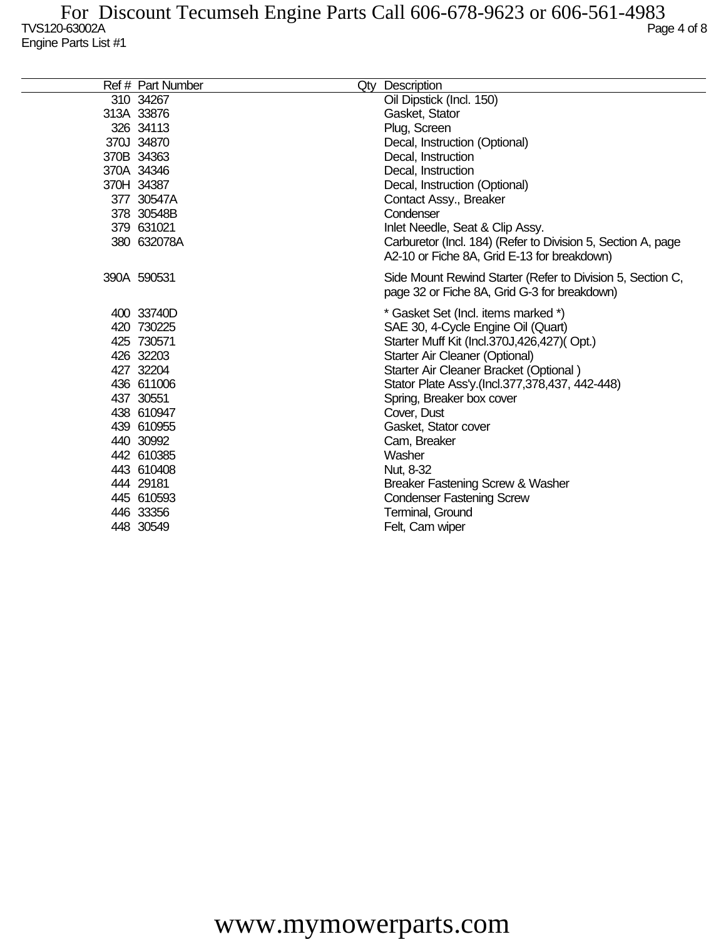| Ref # Part Number | Qty Description                                              |
|-------------------|--------------------------------------------------------------|
| 310 34267         | Oil Dipstick (Incl. 150)                                     |
| 313A 33876        | Gasket, Stator                                               |
| 326 34113         | Plug, Screen                                                 |
| 370J 34870        | Decal, Instruction (Optional)                                |
| 370B 34363        | Decal, Instruction                                           |
| 370A 34346        | Decal, Instruction                                           |
| 370H 34387        | Decal, Instruction (Optional)                                |
| 377 30547A        | Contact Assy., Breaker                                       |
| 378 30548B        | Condenser                                                    |
| 379 631021        | Inlet Needle, Seat & Clip Assy.                              |
| 380 632078A       | Carburetor (Incl. 184) (Refer to Division 5, Section A, page |
|                   | A2-10 or Fiche 8A, Grid E-13 for breakdown)                  |
| 390A 590531       | Side Mount Rewind Starter (Refer to Division 5, Section C,   |
|                   | page 32 or Fiche 8A, Grid G-3 for breakdown)                 |
| 400 33740D        | * Gasket Set (Incl. items marked *)                          |
| 420 730225        | SAE 30, 4-Cycle Engine Oil (Quart)                           |
| 425 730571        | Starter Muff Kit (Incl.370J,426,427)(Opt.)                   |
| 426 32203         | Starter Air Cleaner (Optional)                               |
| 427 32204         | Starter Air Cleaner Bracket (Optional)                       |
| 436 611006        | Stator Plate Ass'y (Incl.377,378,437, 442-448)               |
| 437 30551         | Spring, Breaker box cover                                    |
| 438 610947        | Cover, Dust                                                  |
| 439 610955        | Gasket, Stator cover                                         |
| 440 30992         | Cam, Breaker                                                 |
| 442 610385        | Washer                                                       |
| 443 610408        | Nut, 8-32                                                    |
| 444 29181         | Breaker Fastening Screw & Washer                             |
| 445 610593        | <b>Condenser Fastening Screw</b>                             |
| 446 33356         | Terminal, Ground                                             |
| 448 30549         | Felt, Cam wiper                                              |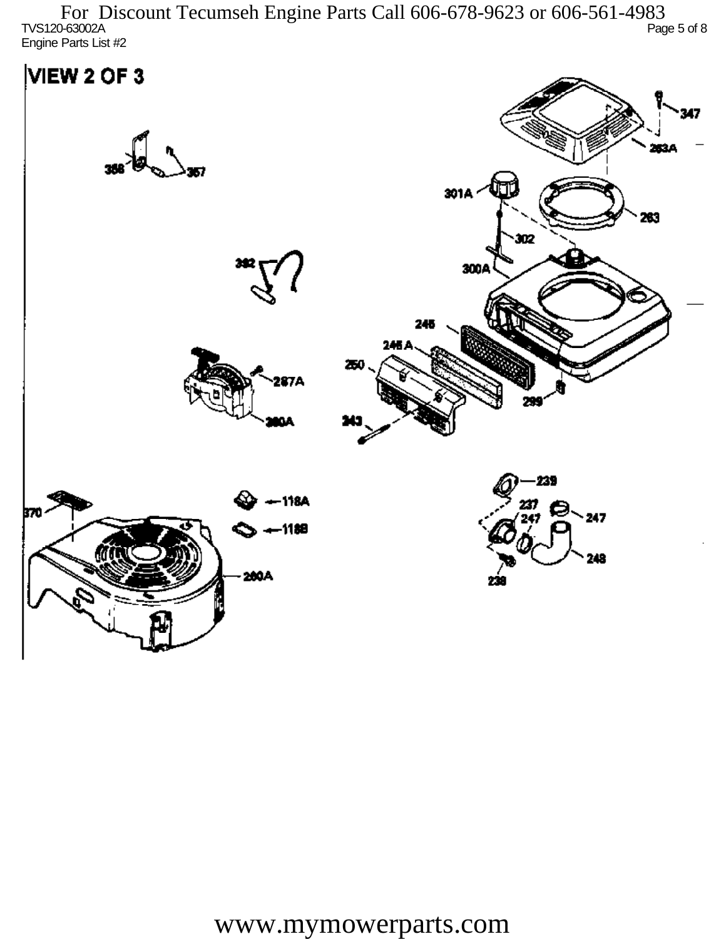TVS120-63002A Page 5 of 8 Engine Parts List #2 For Discount Tecumseh Engine Parts Call 606-678-9623 or 606-561-4983

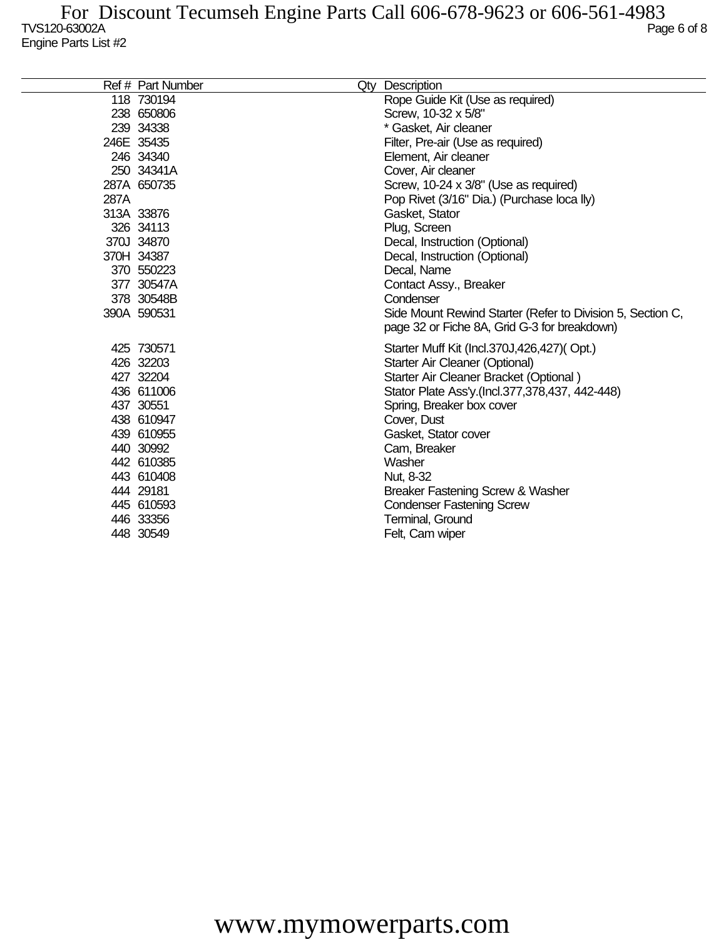|      | Ref # Part Number | Qty Description                                            |
|------|-------------------|------------------------------------------------------------|
|      | 118 730194        | Rope Guide Kit (Use as required)                           |
|      | 238 650806        | Screw, 10-32 x 5/8"                                        |
|      | 239 34338         | * Gasket, Air cleaner                                      |
|      | 246E 35435        | Filter, Pre-air (Use as required)                          |
|      | 246 34340         | Element, Air cleaner                                       |
|      | 250 34341A        | Cover, Air cleaner                                         |
|      | 287A 650735       | Screw, 10-24 x 3/8" (Use as required)                      |
| 287A |                   | Pop Rivet (3/16" Dia.) (Purchase loca lly)                 |
|      | 313A 33876        | Gasket, Stator                                             |
|      | 326 34113         | Plug, Screen                                               |
|      | 370J 34870        | Decal, Instruction (Optional)                              |
|      | 370H 34387        | Decal, Instruction (Optional)                              |
|      | 370 550223        | Decal, Name                                                |
|      | 377 30547A        | Contact Assy., Breaker                                     |
|      | 378 30548B        | Condenser                                                  |
|      | 390A 590531       | Side Mount Rewind Starter (Refer to Division 5, Section C, |
|      |                   | page 32 or Fiche 8A, Grid G-3 for breakdown)               |
|      | 425 730571        | Starter Muff Kit (Incl.370J,426,427)(Opt.)                 |
|      | 426 32203         | Starter Air Cleaner (Optional)                             |
|      | 427 32204         | Starter Air Cleaner Bracket (Optional)                     |
|      | 436 611006        | Stator Plate Ass'y (Incl.377,378,437, 442-448)             |
|      | 437 30551         | Spring, Breaker box cover                                  |
|      | 438 610947        | Cover, Dust                                                |
|      | 439 610955        | Gasket, Stator cover                                       |
|      | 440 30992         | Cam, Breaker                                               |
|      | 442 610385        | Washer                                                     |
|      | 443 610408        | Nut, 8-32                                                  |
|      | 444 29181         | Breaker Fastening Screw & Washer                           |
|      | 445 610593        | <b>Condenser Fastening Screw</b>                           |
|      | 446 33356         | Terminal, Ground                                           |
|      | 448 30549         | Felt, Cam wiper                                            |
|      |                   |                                                            |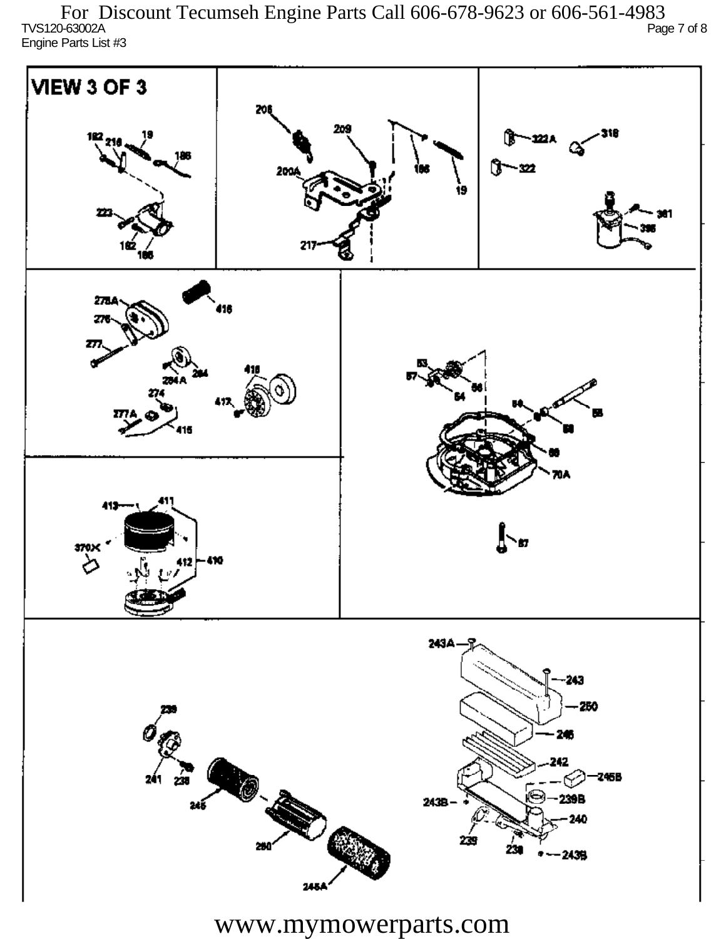TVS120-63002A Page 7 of 8 Engine Parts List #3 For Discount Tecumseh Engine Parts Call 606-678-9623 or 606-561-4983